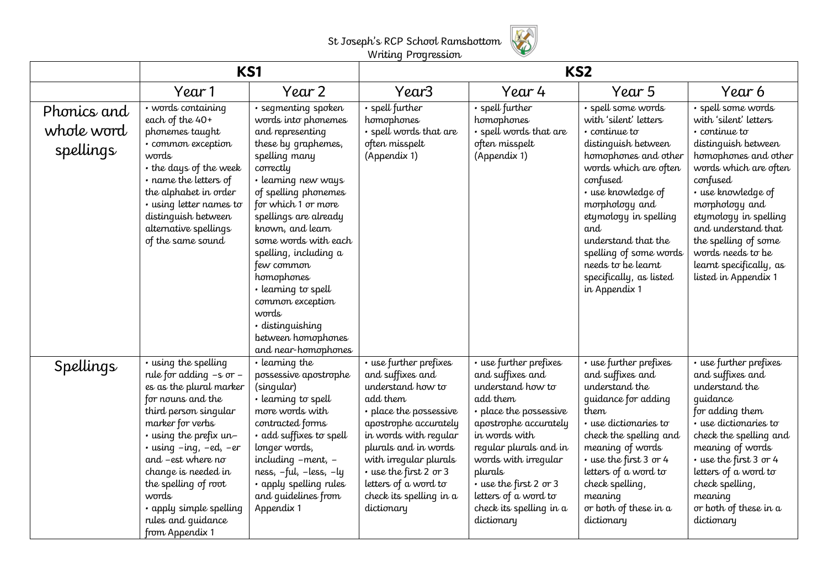

| Writing Progression |
|---------------------|
|                     |

|                                        | <b>KS1</b>                                                                                                                                                                                                                                                                                                                                                                 |                                                                                                                                                                                                                                                                                                                                                                                                                                          | KS <sub>2</sub>                                                                                                                                                                                                                                                                                      |                                                                                                                                                                                                                                                                                                         |                                                                                                                                                                                                                                                                                                                                                   |                                                                                                                                                                                                                                                                                                                                                |
|----------------------------------------|----------------------------------------------------------------------------------------------------------------------------------------------------------------------------------------------------------------------------------------------------------------------------------------------------------------------------------------------------------------------------|------------------------------------------------------------------------------------------------------------------------------------------------------------------------------------------------------------------------------------------------------------------------------------------------------------------------------------------------------------------------------------------------------------------------------------------|------------------------------------------------------------------------------------------------------------------------------------------------------------------------------------------------------------------------------------------------------------------------------------------------------|---------------------------------------------------------------------------------------------------------------------------------------------------------------------------------------------------------------------------------------------------------------------------------------------------------|---------------------------------------------------------------------------------------------------------------------------------------------------------------------------------------------------------------------------------------------------------------------------------------------------------------------------------------------------|------------------------------------------------------------------------------------------------------------------------------------------------------------------------------------------------------------------------------------------------------------------------------------------------------------------------------------------------|
|                                        | Year 1                                                                                                                                                                                                                                                                                                                                                                     | Year 2                                                                                                                                                                                                                                                                                                                                                                                                                                   | Year3                                                                                                                                                                                                                                                                                                | Year 4                                                                                                                                                                                                                                                                                                  | Year 5                                                                                                                                                                                                                                                                                                                                            | Year 6                                                                                                                                                                                                                                                                                                                                         |
| Phonics and<br>whole word<br>spellings | · words containing<br>each of the 40+<br>phonemes taught<br>· common exception<br>words<br>• the days of the week<br>• name the letters of<br>the alphabet in order<br>· using letter names to<br>distinguish between<br>alternative spellings<br>of the same sound                                                                                                        | · segmenting spoken<br>words into phonemes<br>and representing<br>these by graphemes,<br>spelling many<br>correctly<br>• learning new ways<br>of spelling phonemes<br>for which 1 or more<br>spellings are already<br>known, and learn<br>some words with each<br>spelling, including a<br>few common<br>homophones<br>• learning to spell<br>common exception<br>words<br>· distinguishing<br>between homophones<br>and near-homophones | · spell further<br>homophones<br>· spell words that are<br>often misspelt<br>(Appendix 1)                                                                                                                                                                                                            | · spell further<br>homophones<br>· spell words that are<br>often misspelt<br>(Appendix 1)                                                                                                                                                                                                               | · spell some words<br>with 'silent' letters<br>$\cdot$ continue to<br>distinguish between<br>homophones and other<br>words which are often<br>confused<br>· use knowledge of<br>morphology and<br>etymology in spelling<br>and<br>understand that the<br>spelling of some words<br>needs to be learnt<br>specifically, as listed<br>in Appendix 1 | · spell some words<br>with 'silent' letters<br>$\cdot$ continue to<br>distinguish between<br>homophones and other<br>words which are often<br>confused<br>· use knowledge of<br>morphology and<br>etymology in spelling<br>and understand that<br>the spelling of some<br>words needs to be<br>learnt specifically, as<br>listed in Appendix 1 |
| Spellings                              | . using the spelling<br>rule for adding $-s$ or $-$<br>es as the plural marker<br>for nouns and the<br>third person singular<br>marker for verbs<br>$\cdot$ using the prefix un-<br>$\cdot$ using $-$ ing, $-$ ed, $-$ er<br>and -est where no<br>change is needed in<br>the spelling of root<br>words<br>• apply simple spelling<br>rules and guidance<br>from Appendix 1 | $\overline{\cdot}$ learning the<br>possessive apostrophe<br>(singular)<br>• learning to spell<br>more words with<br>contracted forms<br>· add suffixes to spell<br>longer words,<br>including -ment, -<br>ness, -ful, -less, -ly<br>· apply spelling rules<br>and quidelines from<br>Appendix 1                                                                                                                                          | • use further prefixes<br>and suffixes and<br>understand how to<br>add them<br>• place the possessive<br>apostrophe accurately<br>in words with reqular<br>plurals and in words<br>with irregular plurals<br>• use the first 2 or 3<br>letters of a word to<br>check its spelling in a<br>dictionary | • use further prefixes<br>and suffixes and<br>understand how to<br>add them<br>• place the possessive<br>apostrophe accurately<br>in words with<br>reqular plurals and in<br>words with irregular<br>plurals<br>· use the first 2 or 3<br>letters of a word to<br>check its spelling in a<br>dictionary | • use further prefixes<br>and suffixes and<br>understand the<br>quidance for adding<br>them<br>$\cdot$ use dictionaries to<br>check the spelling and<br>meaning of words<br>• use the first 3 or 4<br>letters of a word to<br>check spelling,<br>meaning<br>or both of these in a<br>dictionary                                                   | • use further prefixes<br>and suffixes and<br>understand the<br>quidance<br>for adding them<br>$\cdot$ use dictionaries to<br>check the spelling and<br>meaning of words<br>• use the first 3 or 4<br>letters of a word to<br>check spelling,<br>meaning<br>or both of these in a<br>dictionary                                                |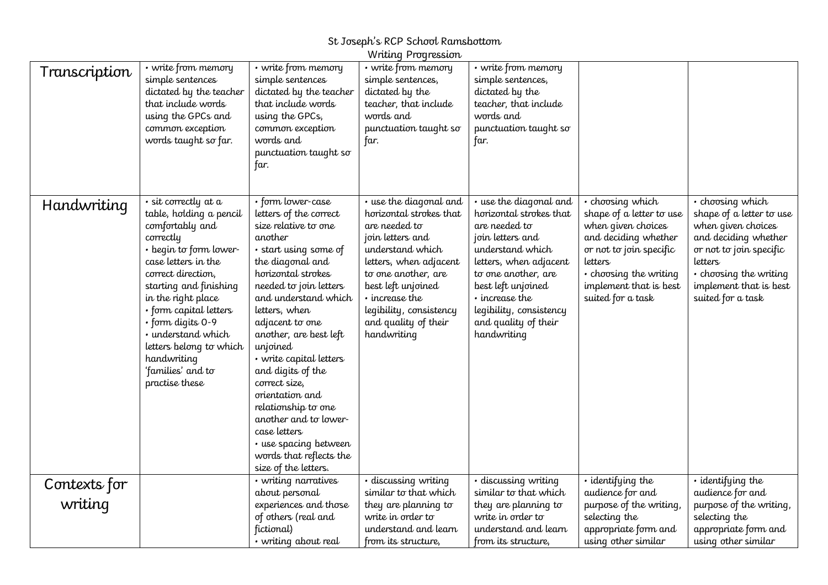|               |                                                                                                                                                                                                                                                                                                                                                              |                                                                                                                                                                                                                                                                                                                                                                                                                                                                                                               | Writing Progression                                                                                                                                                                                                                                                   |                                                                                                                                                                                                                                                                       |                                                                                                                                                                                                           |                                                                                                                                                                                                           |
|---------------|--------------------------------------------------------------------------------------------------------------------------------------------------------------------------------------------------------------------------------------------------------------------------------------------------------------------------------------------------------------|---------------------------------------------------------------------------------------------------------------------------------------------------------------------------------------------------------------------------------------------------------------------------------------------------------------------------------------------------------------------------------------------------------------------------------------------------------------------------------------------------------------|-----------------------------------------------------------------------------------------------------------------------------------------------------------------------------------------------------------------------------------------------------------------------|-----------------------------------------------------------------------------------------------------------------------------------------------------------------------------------------------------------------------------------------------------------------------|-----------------------------------------------------------------------------------------------------------------------------------------------------------------------------------------------------------|-----------------------------------------------------------------------------------------------------------------------------------------------------------------------------------------------------------|
| Transcription | $\cdot$ write from memory<br>simple sentences<br>dictated by the teacher                                                                                                                                                                                                                                                                                     | • write from memory<br>simple sentences<br>dictated by the teacher                                                                                                                                                                                                                                                                                                                                                                                                                                            | • write from memory<br>simple sentences,<br>dictated by the                                                                                                                                                                                                           | • write from memory<br>simple sentences,<br>dictated by the                                                                                                                                                                                                           |                                                                                                                                                                                                           |                                                                                                                                                                                                           |
|               | that include words<br>using the GPCs and                                                                                                                                                                                                                                                                                                                     | that include words<br>using the GPCs,                                                                                                                                                                                                                                                                                                                                                                                                                                                                         | teacher, that include<br>words and                                                                                                                                                                                                                                    | teacher, that include<br>words and                                                                                                                                                                                                                                    |                                                                                                                                                                                                           |                                                                                                                                                                                                           |
|               | common exception<br>words taught so far.                                                                                                                                                                                                                                                                                                                     | common exception<br>words and<br>punctuation taught so                                                                                                                                                                                                                                                                                                                                                                                                                                                        | punctuation taught so<br>far.                                                                                                                                                                                                                                         | punctuation taught so<br>far.                                                                                                                                                                                                                                         |                                                                                                                                                                                                           |                                                                                                                                                                                                           |
|               |                                                                                                                                                                                                                                                                                                                                                              | far.                                                                                                                                                                                                                                                                                                                                                                                                                                                                                                          |                                                                                                                                                                                                                                                                       |                                                                                                                                                                                                                                                                       |                                                                                                                                                                                                           |                                                                                                                                                                                                           |
| Handwriting   | · sit correctly at a<br>table, holding a pencil<br>comfortably and<br>correctly<br>· begin to form lower-<br>case letters in the<br>correct direction,<br>starting and finishing<br>in the right place<br>• form capital letters<br>· form digits 0-9<br>· understand which<br>letters belong to which<br>handwriting<br>'families' and to<br>practise these | · form lower-case<br>letters of the correct<br>size relative to one<br>another<br>· start using some of<br>the diagonal and<br>horizontal strokes<br>needed to join letters<br>and understand which<br>letters, when<br>adjacent to one<br>another, are best left<br>unjoined<br>• write capital letters<br>and digits of the<br>correct size,<br>orientation and<br>relationship to one<br>another and to lower-<br>case letters<br>· use spacing between<br>words that reflects the<br>size of the letters. | • use the diagonal and<br>horizontal strokes that<br>are needed to<br>join letters and<br>understand which<br>letters, when adjacent<br>to one another, are<br>best left unjoined<br>• increase the<br>legibility, consistency<br>and quality of their<br>handwriting | • use the diagonal and<br>horizontal strokes that<br>are needed to<br>join letters and<br>understand which<br>letters, when adjacent<br>to one another, are<br>best left unjoined<br>• increase the<br>legibility, consistency<br>and quality of their<br>handwriting | • choosing which<br>shape of a letter to use<br>when given choices<br>and deciding whether<br>or not to join specific<br>letters<br>• choosing the writing<br>implement that is best<br>suited for a task | · choosing which<br>shape of a letter to use<br>when given choices<br>and deciding whether<br>or not to join specific<br>letters<br>• choosing the writing<br>implement that is best<br>suited for a task |
| Contexts for  |                                                                                                                                                                                                                                                                                                                                                              | · writing narratives<br>about personal                                                                                                                                                                                                                                                                                                                                                                                                                                                                        | · discussing writing<br>similar to that which                                                                                                                                                                                                                         | · discussing writing<br>similar to that which                                                                                                                                                                                                                         | · identifying the<br>audience for and                                                                                                                                                                     | · identifying the<br>audience for and                                                                                                                                                                     |
| writing       |                                                                                                                                                                                                                                                                                                                                                              | experiences and those                                                                                                                                                                                                                                                                                                                                                                                                                                                                                         | they are planning to                                                                                                                                                                                                                                                  | they are planning to                                                                                                                                                                                                                                                  | purpose of the writing,                                                                                                                                                                                   | purpose of the writing,                                                                                                                                                                                   |
|               |                                                                                                                                                                                                                                                                                                                                                              | of others (real and                                                                                                                                                                                                                                                                                                                                                                                                                                                                                           | write in order to                                                                                                                                                                                                                                                     | write in order to                                                                                                                                                                                                                                                     | selecting the                                                                                                                                                                                             | selecting the                                                                                                                                                                                             |
|               |                                                                                                                                                                                                                                                                                                                                                              | fictional)<br>• writing about real                                                                                                                                                                                                                                                                                                                                                                                                                                                                            | understand and learn<br>from its structure,                                                                                                                                                                                                                           | understand and learn<br>from its structure,                                                                                                                                                                                                                           | appropriate form and<br>using other similar                                                                                                                                                               | appropriate form and<br>using other similar                                                                                                                                                               |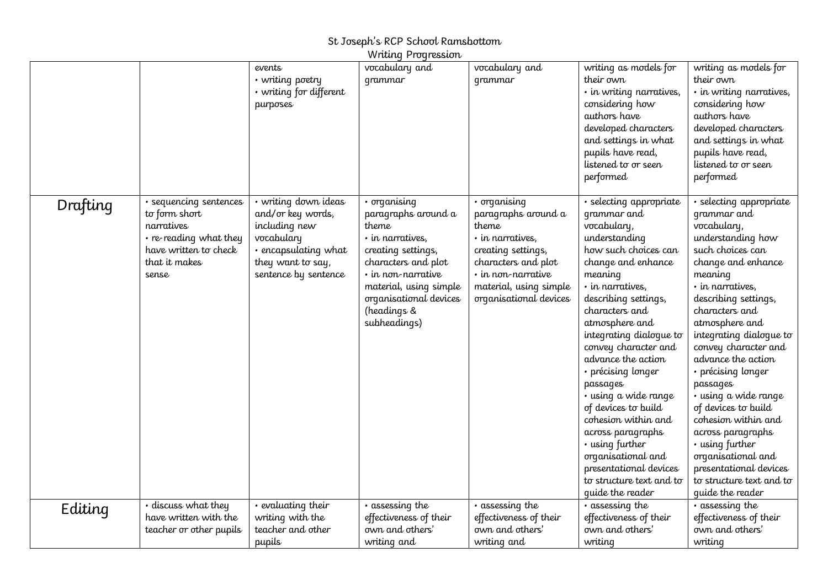#### St Joseph's RCP School Ramsbottom Writing Progression.

|          |                                                                                                                                    |                                                                                                                                               | <i>v</i> immy rogressive                                                                                                                                                                                               |                                                                                                                                                                                               |                                                                                                                                                                                                                                                                                                                                                                                                                                                                                                                                          |                                                                                                                                                                                                                                                                                                                                                                                                                                                                                                                                          |
|----------|------------------------------------------------------------------------------------------------------------------------------------|-----------------------------------------------------------------------------------------------------------------------------------------------|------------------------------------------------------------------------------------------------------------------------------------------------------------------------------------------------------------------------|-----------------------------------------------------------------------------------------------------------------------------------------------------------------------------------------------|------------------------------------------------------------------------------------------------------------------------------------------------------------------------------------------------------------------------------------------------------------------------------------------------------------------------------------------------------------------------------------------------------------------------------------------------------------------------------------------------------------------------------------------|------------------------------------------------------------------------------------------------------------------------------------------------------------------------------------------------------------------------------------------------------------------------------------------------------------------------------------------------------------------------------------------------------------------------------------------------------------------------------------------------------------------------------------------|
|          |                                                                                                                                    | events<br>• writing poetry<br>• writing for different<br>purposes                                                                             | vocabulary and<br>qrammar                                                                                                                                                                                              | vocabulary and<br>qrammar                                                                                                                                                                     | writing as models for<br>their own<br>· in writing narratives,<br>considering how<br>authors have<br>developed characters<br>and settings in what<br>pupils have read,<br>listened to or seen<br>performed                                                                                                                                                                                                                                                                                                                               | writing as models for<br>their own<br>· in writing narratives,<br>considering how<br>authors have<br>developed characters<br>and settings in what<br>pupils have read,<br>listened to or seen<br>performed                                                                                                                                                                                                                                                                                                                               |
| Drafting | • sequencing sentences<br>to form short<br>narratives<br>• re-reading what they<br>have written to check<br>that it makes<br>sense | • writing down ideas<br>and/or key words,<br>including new<br>vocabulary<br>• encapsulating what<br>they want to say,<br>sentence by sentence | · organising<br>paragraphs around a<br>theme<br>· in narratives,<br>creating settings,<br>characters and plot<br>• in non-narrative<br>material, using simple<br>organisational devices<br>(headings &<br>subheadings) | · organising<br>paragraphs around a<br>theme<br>· in narratives,<br>creating settings,<br>characters and plot<br>$\cdot$ in non-narrative<br>material, using simple<br>organisational devices | · selecting appropriate<br>grammar and<br>vocabulary,<br>understanding<br>how such choices can<br>change and enhance<br>meaning<br>· in narratives,<br>describing settings,<br>characters and<br>atmosphere and<br>integrating dialogue to<br>convey character and<br>advance the action<br>· précising longer<br>passages<br>• using a wide range<br>of devices to build<br>cohesion within and<br>across paragraphs<br>• using further<br>organisational and<br>presentational devices<br>to structure text and to<br>quide the reader | · selecting appropriate<br>grammar and<br>vocabulary,<br>understanding how<br>such choices can<br>change and enhance<br>meaning<br>· in narratives,<br>describing settings,<br>characters and<br>atmosphere and<br>integrating dialogue to<br>convey character and<br>advance the action<br>· précising longer<br>passages<br>• using a wide range<br>of devices to build<br>cohesion within and<br>across paragraphs<br>• using further<br>organisational and<br>presentational devices<br>to structure text and to<br>quide the reader |
| Editing  | • discuss what they                                                                                                                | • evaluating their                                                                                                                            | • assessing the                                                                                                                                                                                                        | • assessing the                                                                                                                                                                               | • assessing the                                                                                                                                                                                                                                                                                                                                                                                                                                                                                                                          | • assessing the                                                                                                                                                                                                                                                                                                                                                                                                                                                                                                                          |
|          | have written with the<br>teacher or other pupils                                                                                   | writing with the<br>teacher and other                                                                                                         | effectiveness of their<br>own and others'                                                                                                                                                                              | effectiveness of their<br>own and others'                                                                                                                                                     | effectiveness of their<br>own and others'                                                                                                                                                                                                                                                                                                                                                                                                                                                                                                | effectiveness of their<br>own and others'                                                                                                                                                                                                                                                                                                                                                                                                                                                                                                |
|          |                                                                                                                                    | pupils                                                                                                                                        | writing and                                                                                                                                                                                                            | writing and                                                                                                                                                                                   | writing                                                                                                                                                                                                                                                                                                                                                                                                                                                                                                                                  | writing                                                                                                                                                                                                                                                                                                                                                                                                                                                                                                                                  |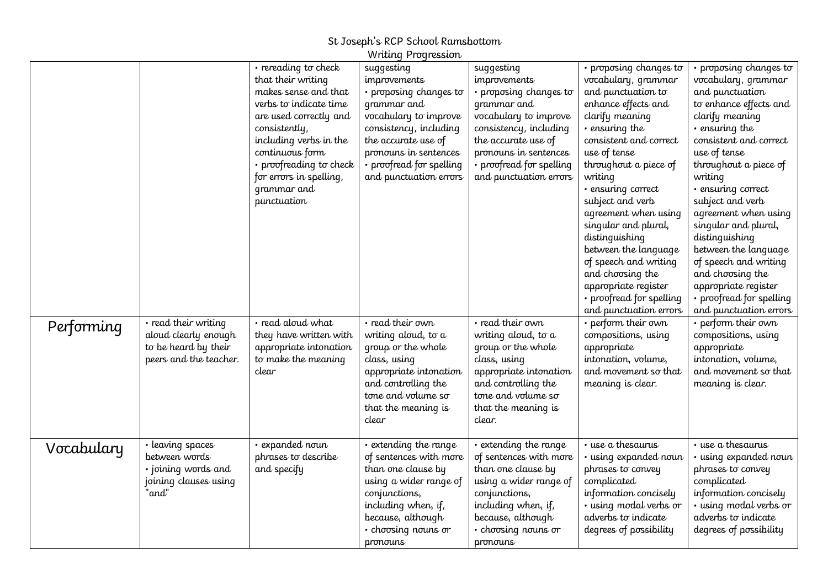|            |                                                                                                | · rereading to check<br>that their writing<br>makes sense and that<br>verbs to indicate time<br>are used correctly and<br>consistently,<br>including verbs in the<br>continuous form<br>• proofreading to check<br>for errors in spelling,<br>grammar and<br>punctuation | Writing Progression<br>suggesting<br><i>improvements</i><br>• proposing changes to<br>grammar and<br>vocabulary to improve<br>consistency, including<br>the accurate use of<br>pronouns in sentences<br>• proofread for spelling<br>and punctuation errors | suggesting<br>improvements<br>• proposing changes to<br>grammar and<br>vocabulary to improve<br>consistency, including<br>the accurate use of<br>pronouns in sentences<br>• proofread for spelling<br>and punctuation errors | · proposing changes to<br>vocabulary, grammar<br>and punctuation to<br>enhance effects and<br>clarify meaning<br>• ensuring the<br>consistent and correct<br>use of tense<br>throughout a piece of<br>writing<br>· ensuring correct<br>subject and verb<br>agreement when using<br>singular and plural,<br>distinguishing<br>between the language<br>of speech and writing<br>and choosing the<br>appropriate register | · proposing changes to<br>vocabulary, grammar<br>and punctuation<br>to enhance effects and<br>clarify meaning<br>• ensuring the<br>consistent and correct<br>use of tense<br>throughout a piece of<br>writing<br>· ensuring correct<br>subject and verb<br>agreement when using<br>singular and plural,<br>distinguishing<br>between the language<br>of speech and writing<br>and choosing the<br>appropriate register |
|------------|------------------------------------------------------------------------------------------------|--------------------------------------------------------------------------------------------------------------------------------------------------------------------------------------------------------------------------------------------------------------------------|------------------------------------------------------------------------------------------------------------------------------------------------------------------------------------------------------------------------------------------------------------|------------------------------------------------------------------------------------------------------------------------------------------------------------------------------------------------------------------------------|------------------------------------------------------------------------------------------------------------------------------------------------------------------------------------------------------------------------------------------------------------------------------------------------------------------------------------------------------------------------------------------------------------------------|------------------------------------------------------------------------------------------------------------------------------------------------------------------------------------------------------------------------------------------------------------------------------------------------------------------------------------------------------------------------------------------------------------------------|
| Performing | • read their writing<br>aloud clearly enough<br>to be heard by their<br>peers and the teacher. | · read aloud what<br>they have written with<br>appropriate intonation<br>to make the meaning<br>clear                                                                                                                                                                    | • read their own<br>writing aloud, to a<br>group or the whole<br>class, using<br>appropriate intonation<br>and controlling the<br>tone and volume so<br>that the meaning is<br>clear                                                                       | $\overline{\cdot}$ read their own<br>writing aloud, to a<br>group or the whole<br>class, using<br>appropriate intonation<br>and controlling the<br>tone and volume so<br>that the meaning is<br>clear.                       | • proofread for spelling<br>and punctuation errors<br>$\cdot$ perform their own<br>compositions, using<br>appropriate<br>intonation, volume,<br>and movement so that<br>meaning is clear.                                                                                                                                                                                                                              | • proofread for spelling<br>and punctuation errors<br>• perform their own<br>compositions, using<br>appropriate<br>intonation, volume,<br>and movement so that<br>meaning is clear.                                                                                                                                                                                                                                    |
| Vocabulary | • leaving spaces<br>between words<br>· joining words and<br>joining clauses using<br>"and"     | · expanded noun<br>phrases to describe<br>and specify                                                                                                                                                                                                                    | • extending the range<br>of sentences with more<br>than one clause by<br>using a wider range of<br>conjunctions,<br>including when, if,<br>because, although<br>• choosing nouns or<br>pronouns                                                            | · extending the range<br>of sentences with more<br>than one clause by<br>using a wider range of<br>conjunctions,<br>including when, if,<br>because, although<br>• choosing nouns or<br>pronouns                              | $\overline{\cdot}$ use a thesaurus<br>• using expanded noun<br>phrases to convey<br>complicated<br>information concisely<br>· using modal verbs or<br>adverbs to indicate<br>degrees of possibility                                                                                                                                                                                                                    | · use a thesaurus<br>• using expanded noun<br>phrases to convey<br>complicated<br>information concisely<br>· using modal verbs or<br>adverbs to indicate<br>degrees of possibility                                                                                                                                                                                                                                     |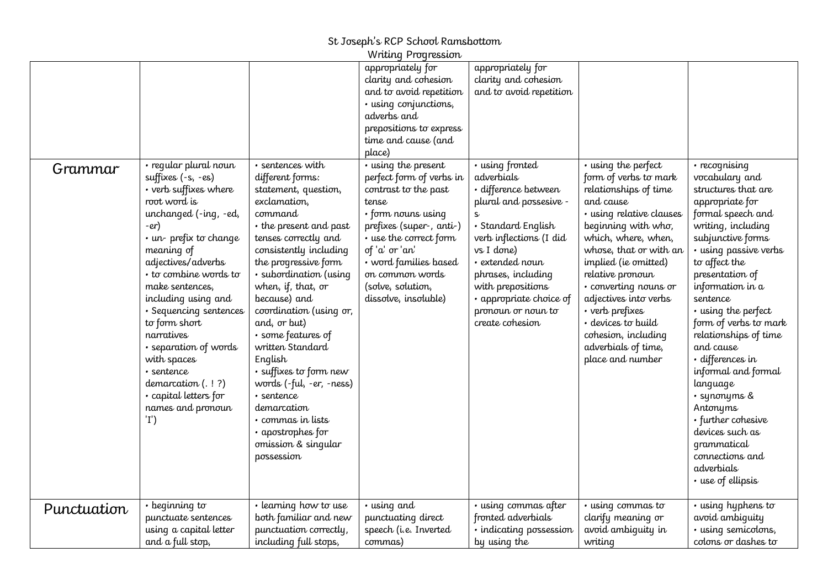|             |                                                                                                                                                                                                                                                                                                                                                                                                                                             |                                                                                                                                                                                                                                                                                                                                                                                                                                                                                                           | Writing Progression                                                                                                                                                                                                                              |                                                                                                                                                                                                                                                                               |                                                                                                                                                                                                                                                                                                                                                                                                 |                                                                                                                                                                                                                                                                                                                                                                                                                                                                                                                               |
|-------------|---------------------------------------------------------------------------------------------------------------------------------------------------------------------------------------------------------------------------------------------------------------------------------------------------------------------------------------------------------------------------------------------------------------------------------------------|-----------------------------------------------------------------------------------------------------------------------------------------------------------------------------------------------------------------------------------------------------------------------------------------------------------------------------------------------------------------------------------------------------------------------------------------------------------------------------------------------------------|--------------------------------------------------------------------------------------------------------------------------------------------------------------------------------------------------------------------------------------------------|-------------------------------------------------------------------------------------------------------------------------------------------------------------------------------------------------------------------------------------------------------------------------------|-------------------------------------------------------------------------------------------------------------------------------------------------------------------------------------------------------------------------------------------------------------------------------------------------------------------------------------------------------------------------------------------------|-------------------------------------------------------------------------------------------------------------------------------------------------------------------------------------------------------------------------------------------------------------------------------------------------------------------------------------------------------------------------------------------------------------------------------------------------------------------------------------------------------------------------------|
|             | · regular plural noun                                                                                                                                                                                                                                                                                                                                                                                                                       | · sentences with                                                                                                                                                                                                                                                                                                                                                                                                                                                                                          | appropriately for<br>clarity and cohesion<br>and to avoid repetition<br>· using conjunctions,<br>adverbs and<br>prepositions to express<br>time and cause (and<br>place)<br>• using the present                                                  | appropriately for<br>clarity and cohesion<br>and to avoid repetition<br>· using fronted                                                                                                                                                                                       |                                                                                                                                                                                                                                                                                                                                                                                                 |                                                                                                                                                                                                                                                                                                                                                                                                                                                                                                                               |
| Grammar     | suffixes (-s, -es)<br>• verb suffixes where<br>root word is<br>unchanged (-ing, -ed,<br>$-er$ )<br>$\cdot$ un-prefix to change<br>meaning of<br>adjectives/adverbs<br>$\cdot$ to combine words to<br>make sentences,<br>including using and<br>· Sequencing sentences<br>to form short<br>narratives<br>• separation of words<br>with spaces<br>· sentence<br>demarcation $( . 1 ? )$<br>· capital letters for<br>names and pronoun<br>'I') | different forms:<br>statement, question,<br>exclamation,<br>command<br>• the present and past<br>tenses correctly and<br>consistently including<br>the progressive form<br>· subordination (using<br>when, if, that, or<br>because) and<br>coordination (using or,<br>and, or but)<br>· some features of<br>written Standard<br>English<br>• suffixes to form new<br>words (-ful, -er, -ness)<br>• sentence<br>demarcation<br>· commas in lists<br>· apostrophes for<br>omission & singular<br>possession | perfect form of verbs in<br>contrast to the past<br>tense<br>• form nouns using<br>prefixes (super-, anti-)<br>• use the correct form<br>of 'a' or 'an'<br>• word families based<br>on common words<br>(solve, solution,<br>dissolve, insoluble) | adverbials<br>· difference between<br>plural and possesive -<br>$\mathsf{s}$<br>· Standard English<br>verb inflections (I did<br>vs I done)<br>· extended noun<br>phrases, including<br>with prepositions<br>· appropriate choice of<br>pronoun or noun to<br>create cohesion | • using the perfect<br>form of verbs to mark<br>relationships of time<br>and cause<br>· using relative clauses<br>beginning with who,<br>which, where, when,<br>whose, that or with an<br>implied (ie omitted)<br>relative pronoun<br>· converting nouns or<br>adjectives into verbs<br>• verb prefixes<br>· devices to build<br>cohesion, including<br>adverbials of time,<br>place and number | • recognising<br>vocabulary and<br>structures that are<br>appropriate for<br>formal speech and<br>writing, including<br>subjunctive forms<br>• using passive verbs<br>to affect the<br>presentation of<br>information in a<br>sentence<br>• using the perfect<br>form of verbs to mark<br>relationships of time<br>and cause<br>· differences in<br>informal and formal<br>language<br>• synonyms &<br>Antonyms<br>• further cohesive<br>devices such as<br>grammatical<br>connections and<br>adverbials<br>• use of ellipsis |
| Punctuation | $\cdot$ beginning to<br>punctuate sentences<br>using a capital letter<br>and a full stop,                                                                                                                                                                                                                                                                                                                                                   | • learning how to use<br>both familiar and new<br>punctuation correctly,<br>including full stops,                                                                                                                                                                                                                                                                                                                                                                                                         | • using and<br>punctuating direct<br>speech (i.e. Inverted<br>commas)                                                                                                                                                                            | • using commas after<br>fronted adverbials<br>· indicating possession<br>by using the                                                                                                                                                                                         | · using commas to<br>clarify meaning or<br>avoid ambiquity in<br>writing                                                                                                                                                                                                                                                                                                                        | • using hyphens to<br>avoid ambiquity<br>· using semicolons,<br>colons or dashes to                                                                                                                                                                                                                                                                                                                                                                                                                                           |